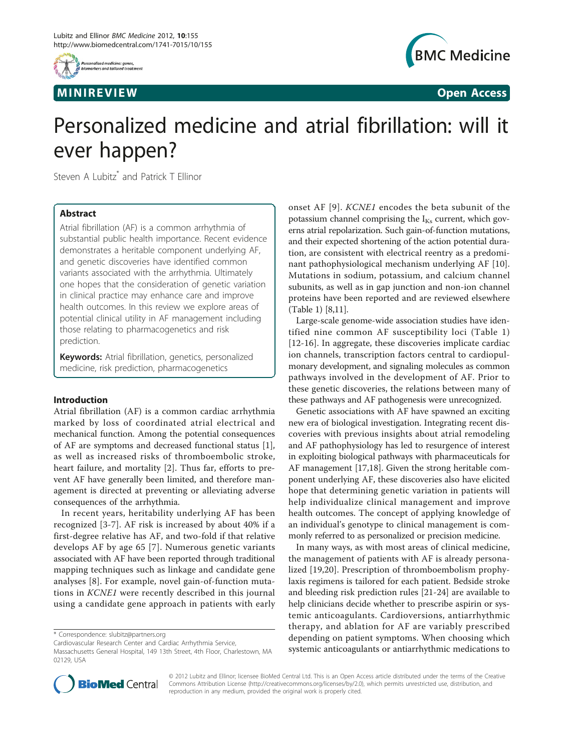

# MINIREVIEW **Open Access**



# Personalized medicine and atrial fibrillation: will it ever happen?

Steven A Lubitz<sup>\*</sup> and Patrick T Ellinor

# Abstract

Atrial fibrillation (AF) is a common arrhythmia of substantial public health importance. Recent evidence demonstrates a heritable component underlying AF, and genetic discoveries have identified common variants associated with the arrhythmia. Ultimately one hopes that the consideration of genetic variation in clinical practice may enhance care and improve health outcomes. In this review we explore areas of potential clinical utility in AF management including those relating to pharmacogenetics and risk prediction.

Keywords: Atrial fibrillation, genetics, personalized medicine, risk prediction, pharmacogenetics

# Introduction

Atrial fibrillation (AF) is a common cardiac arrhythmia marked by loss of coordinated atrial electrical and mechanical function. Among the potential consequences of AF are symptoms and decreased functional status [\[1](#page-4-0)], as well as increased risks of thromboembolic stroke, heart failure, and mortality [[2\]](#page-4-0). Thus far, efforts to prevent AF have generally been limited, and therefore management is directed at preventing or alleviating adverse consequences of the arrhythmia.

In recent years, heritability underlying AF has been recognized [[3-7\]](#page-4-0). AF risk is increased by about 40% if a first-degree relative has AF, and two-fold if that relative develops AF by age 65 [\[7](#page-4-0)]. Numerous genetic variants associated with AF have been reported through traditional mapping techniques such as linkage and candidate gene analyses [[8](#page-4-0)]. For example, novel gain-of-function mutations in KCNE1 were recently described in this journal using a candidate gene approach in patients with early

onset AF [[9](#page-4-0)]. KCNE1 encodes the beta subunit of the potassium channel comprising the  $I_{Ks}$  current, which governs atrial repolarization. Such gain-of-function mutations, and their expected shortening of the action potential duration, are consistent with electrical reentry as a predominant pathophysiological mechanism underlying AF [[10](#page-4-0)]. Mutations in sodium, potassium, and calcium channel subunits, as well as in gap junction and non-ion channel proteins have been reported and are reviewed elsewhere (Table [1\)](#page-1-0) [[8,11](#page-4-0)].

Large-scale genome-wide association studies have identified nine common AF susceptibility loci (Table [1](#page-1-0)) [[12-16](#page-4-0)]. In aggregate, these discoveries implicate cardiac ion channels, transcription factors central to cardiopulmonary development, and signaling molecules as common pathways involved in the development of AF. Prior to these genetic discoveries, the relations between many of these pathways and AF pathogenesis were unrecognized.

Genetic associations with AF have spawned an exciting new era of biological investigation. Integrating recent discoveries with previous insights about atrial remodeling and AF pathophysiology has led to resurgence of interest in exploiting biological pathways with pharmaceuticals for AF management [\[17,18\]](#page-4-0). Given the strong heritable component underlying AF, these discoveries also have elicited hope that determining genetic variation in patients will help individualize clinical management and improve health outcomes. The concept of applying knowledge of an individual's genotype to clinical management is commonly referred to as personalized or precision medicine.

In many ways, as with most areas of clinical medicine, the management of patients with AF is already personalized [\[19](#page-5-0),[20\]](#page-5-0). Prescription of thromboembolism prophylaxis regimens is tailored for each patient. Bedside stroke and bleeding risk prediction rules [[21-24](#page-5-0)] are available to help clinicians decide whether to prescribe aspirin or systemic anticoagulants. Cardioversions, antiarrhythmic therapy, and ablation for AF are variably prescribed depending on patient symptoms. When choosing which systemic anticoagulants or antiarrhythmic medications to



© 2012 Lubitz and Ellinor; licensee BioMed Central Ltd. This is an Open Access article distributed under the terms of the Creative Commons Attribution License [\(http://creativecommons.org/licenses/by/2.0](http://creativecommons.org/licenses/by/2.0)), which permits unrestricted use, distribution, and reproduction in any medium, provided the original work is properly cited.

<sup>\*</sup> Correspondence: [slubitz@partners.org](mailto:slubitz@partners.org)

Cardiovascular Research Center and Cardiac Arrhythmia Service,

Massachusetts General Hospital, 149 13th Street, 4th Floor, Charlestown, MA 02129, USA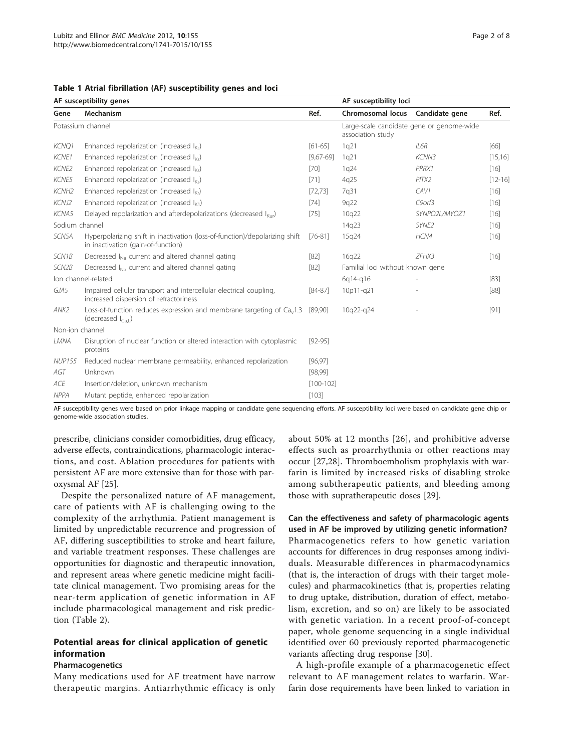|                     | AF susceptibility genes                                                                                           |               | AF susceptibility loci                                         |                     |             |  |
|---------------------|-------------------------------------------------------------------------------------------------------------------|---------------|----------------------------------------------------------------|---------------------|-------------|--|
| Gene                | Mechanism                                                                                                         | Ref.          | Chromosomal locus                                              | Candidate gene      | Ref.        |  |
| Potassium channel   |                                                                                                                   |               | Large-scale candidate gene or genome-wide<br>association study |                     |             |  |
| KCNQ1               | Enhanced repolarization (increased $I_{Ks}$ )                                                                     | $[61-65]$     | 1q21                                                           | II 6R               | [66]        |  |
| <b>KCNE1</b>        | Enhanced repolarization (increased $I_{Ks}$ )                                                                     | $[9,67-69]$   | 1q21                                                           | KCNN3               | [15, 16]    |  |
| KCNE2               | Enhanced repolarization (increased $I_{Ks}$ )                                                                     | $[70]$        | 1q24                                                           | PRRX1               | $[16]$      |  |
| KCNE5               | Enhanced repolarization (increased $I_{Ks}$ )                                                                     | $[71]$        | 4q25                                                           | PITX2               | $[12 - 16]$ |  |
| KCNH <sub>2</sub>   | Enhanced repolarization (increased $I_{\kappa r}$ )                                                               | [72, 73]      | 7q31                                                           | CAV1                | [16]        |  |
| KCNJ2               | Enhanced repolarization (increased $I_{K1}$ )                                                                     | $[74]$        | 9q22                                                           | C <sub>9</sub> orf3 | $[16]$      |  |
| KCNA5               | Delayed repolarization and afterdepolarizations (decreased $I_{K_{\text{tr}}}$ )                                  | $[75]$        | 10q22                                                          | SYNPO2L/MYOZ1       | $[16]$      |  |
| Sodium channel      |                                                                                                                   |               | 14q23                                                          | SYNE2               | $[16]$      |  |
| SCN5A               | Hyperpolarizing shift in inactivation (loss-of-function)/depolarizing shift<br>in inactivation (gain-of-function) | $[76-81]$     | 15q24                                                          | HCN4                | $[16]$      |  |
| SCN1B               | Decreased I <sub>Na</sub> current and altered channel gating                                                      | [82]          | 16q22                                                          | ZFHX3               | $[16]$      |  |
| SCN <sub>2</sub> B  | Decreased $I_{Na}$ current and altered channel gating                                                             | $[82]$        | Familial loci without known gene                               |                     |             |  |
| Ion channel-related |                                                                                                                   |               | 6q14-q16                                                       |                     | $[83]$      |  |
| GJA5                | Impaired cellular transport and intercellular electrical coupling,<br>increased dispersion of refractoriness      | $[84 - 87]$   | $10p11-q21$                                                    |                     | [88]        |  |
| ANK <sub>2</sub>    | Loss-of-function reduces expression and membrane targeting of $Cav1.3$<br>(decreased $ _{CaI}$ )                  | [89,90]       | 10q22-q24                                                      |                     | $[91]$      |  |
| Non-ion channel     |                                                                                                                   |               |                                                                |                     |             |  |
| LMNA                | Disruption of nuclear function or altered interaction with cytoplasmic<br>proteins                                | $[92 - 95]$   |                                                                |                     |             |  |
| <b>NUP155</b>       | Reduced nuclear membrane permeability, enhanced repolarization                                                    | [96, 97]      |                                                                |                     |             |  |
| AGT                 | Unknown                                                                                                           | [98, 99]      |                                                                |                     |             |  |
| <b>ACE</b>          | Insertion/deletion, unknown mechanism                                                                             | $[100 - 102]$ |                                                                |                     |             |  |
| <b>NPPA</b>         | Mutant peptide, enhanced repolarization                                                                           | [103]         |                                                                |                     |             |  |

<span id="page-1-0"></span>

|  |  |  |  | Table 1 Atrial fibrillation (AF) susceptibility genes and loci |  |  |  |
|--|--|--|--|----------------------------------------------------------------|--|--|--|
|--|--|--|--|----------------------------------------------------------------|--|--|--|

AF susceptibility genes were based on prior linkage mapping or candidate gene sequencing efforts. AF susceptibility loci were based on candidate gene chip or genome-wide association studies.

prescribe, clinicians consider comorbidities, drug efficacy, adverse effects, contraindications, pharmacologic interactions, and cost. Ablation procedures for patients with persistent AF are more extensive than for those with paroxysmal AF [\[25](#page-5-0)].

Despite the personalized nature of AF management, care of patients with AF is challenging owing to the complexity of the arrhythmia. Patient management is limited by unpredictable recurrence and progression of AF, differing susceptibilities to stroke and heart failure, and variable treatment responses. These challenges are opportunities for diagnostic and therapeutic innovation, and represent areas where genetic medicine might facilitate clinical management. Two promising areas for the near-term application of genetic information in AF include pharmacological management and risk prediction (Table [2](#page-2-0)).

# Potential areas for clinical application of genetic information

## Pharmacogenetics

Many medications used for AF treatment have narrow therapeutic margins. Antiarrhythmic efficacy is only about 50% at 12 months [[26](#page-5-0)], and prohibitive adverse effects such as proarrhythmia or other reactions may occur [\[27,28](#page-5-0)]. Thromboembolism prophylaxis with warfarin is limited by increased risks of disabling stroke among subtherapeutic patients, and bleeding among those with supratherapeutic doses [[29](#page-5-0)].

Can the effectiveness and safety of pharmacologic agents used in AF be improved by utilizing genetic information? Pharmacogenetics refers to how genetic variation accounts for differences in drug responses among individuals. Measurable differences in pharmacodynamics (that is, the interaction of drugs with their target molecules) and pharmacokinetics (that is, properties relating to drug uptake, distribution, duration of effect, metabolism, excretion, and so on) are likely to be associated with genetic variation. In a recent proof-of-concept paper, whole genome sequencing in a single individual identified over 60 previously reported pharmacogenetic variants affecting drug response [[30](#page-5-0)].

A high-profile example of a pharmacogenetic effect relevant to AF management relates to warfarin. Warfarin dose requirements have been linked to variation in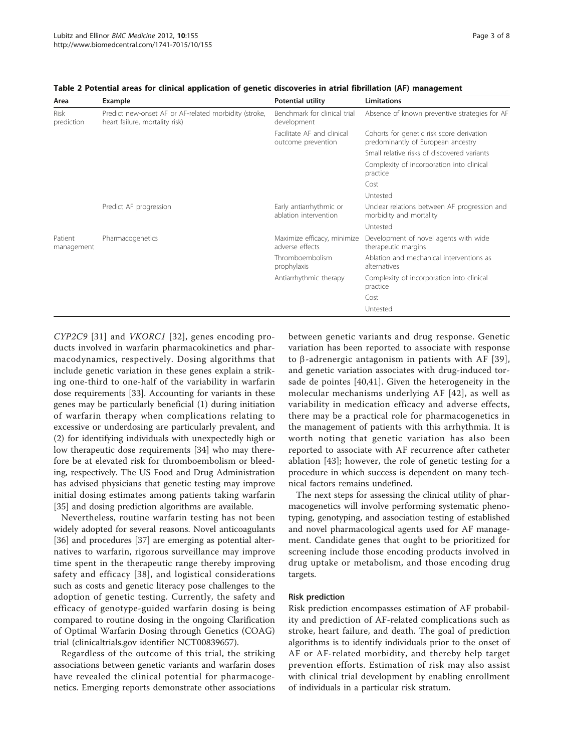| Area                      | Example                                                                                 | <b>Potential utility</b>                         | <b>Limitations</b>                                                              |
|---------------------------|-----------------------------------------------------------------------------------------|--------------------------------------------------|---------------------------------------------------------------------------------|
| <b>Risk</b><br>prediction | Predict new-onset AF or AF-related morbidity (stroke,<br>heart failure, mortality risk) | Benchmark for clinical trial<br>development      | Absence of known preventive strategies for AF                                   |
|                           |                                                                                         | Facilitate AF and clinical<br>outcome prevention | Cohorts for genetic risk score derivation<br>predominantly of European ancestry |
|                           |                                                                                         |                                                  | Small relative risks of discovered variants                                     |
|                           |                                                                                         |                                                  | Complexity of incorporation into clinical<br>practice                           |
|                           |                                                                                         |                                                  | Cost                                                                            |
|                           |                                                                                         |                                                  | Untested                                                                        |
|                           | Predict AF progression                                                                  | Early antiarrhythmic or<br>ablation intervention | Unclear relations between AF progression and<br>morbidity and mortality         |
|                           |                                                                                         |                                                  | Untested                                                                        |
| Patient<br>management     | Pharmacogenetics                                                                        | Maximize efficacy, minimize<br>adverse effects   | Development of novel agents with wide<br>therapeutic margins                    |
|                           |                                                                                         | Thromboembolism<br>prophylaxis                   | Ablation and mechanical interventions as<br>alternatives                        |
|                           |                                                                                         | Antiarrhythmic therapy                           | Complexity of incorporation into clinical<br>practice                           |
|                           |                                                                                         |                                                  | Cost                                                                            |
|                           |                                                                                         |                                                  | Untested                                                                        |

<span id="page-2-0"></span>Table 2 Potential areas for clinical application of genetic discoveries in atrial fibrillation (AF) management

CYP2C9 [\[31\]](#page-5-0) and VKORC1 [[32](#page-5-0)], genes encoding products involved in warfarin pharmacokinetics and pharmacodynamics, respectively. Dosing algorithms that include genetic variation in these genes explain a striking one-third to one-half of the variability in warfarin dose requirements [\[33\]](#page-5-0). Accounting for variants in these genes may be particularly beneficial (1) during initiation of warfarin therapy when complications relating to excessive or underdosing are particularly prevalent, and (2) for identifying individuals with unexpectedly high or low therapeutic dose requirements [[34\]](#page-5-0) who may therefore be at elevated risk for thromboembolism or bleeding, respectively. The US Food and Drug Administration has advised physicians that genetic testing may improve initial dosing estimates among patients taking warfarin [[35\]](#page-5-0) and dosing prediction algorithms are available.

Nevertheless, routine warfarin testing has not been widely adopted for several reasons. Novel anticoagulants [[36\]](#page-5-0) and procedures [[37](#page-5-0)] are emerging as potential alternatives to warfarin, rigorous surveillance may improve time spent in the therapeutic range thereby improving safety and efficacy [[38](#page-5-0)], and logistical considerations such as costs and genetic literacy pose challenges to the adoption of genetic testing. Currently, the safety and efficacy of genotype-guided warfarin dosing is being compared to routine dosing in the ongoing Clarification of Optimal Warfarin Dosing through Genetics (COAG) trial (clinicaltrials.gov identifier NCT00839657).

Regardless of the outcome of this trial, the striking associations between genetic variants and warfarin doses have revealed the clinical potential for pharmacogenetics. Emerging reports demonstrate other associations between genetic variants and drug response. Genetic variation has been reported to associate with response to  $\beta$ -adrenergic antagonism in patients with AF [[39\]](#page-5-0), and genetic variation associates with drug-induced torsade de pointes [[40,41\]](#page-5-0). Given the heterogeneity in the molecular mechanisms underlying AF [[42\]](#page-5-0), as well as variability in medication efficacy and adverse effects, there may be a practical role for pharmacogenetics in the management of patients with this arrhythmia. It is worth noting that genetic variation has also been reported to associate with AF recurrence after catheter ablation [\[43](#page-5-0)]; however, the role of genetic testing for a procedure in which success is dependent on many technical factors remains undefined.

The next steps for assessing the clinical utility of pharmacogenetics will involve performing systematic phenotyping, genotyping, and association testing of established and novel pharmacological agents used for AF management. Candidate genes that ought to be prioritized for screening include those encoding products involved in drug uptake or metabolism, and those encoding drug targets.

### Risk prediction

Risk prediction encompasses estimation of AF probability and prediction of AF-related complications such as stroke, heart failure, and death. The goal of prediction algorithms is to identify individuals prior to the onset of AF or AF-related morbidity, and thereby help target prevention efforts. Estimation of risk may also assist with clinical trial development by enabling enrollment of individuals in a particular risk stratum.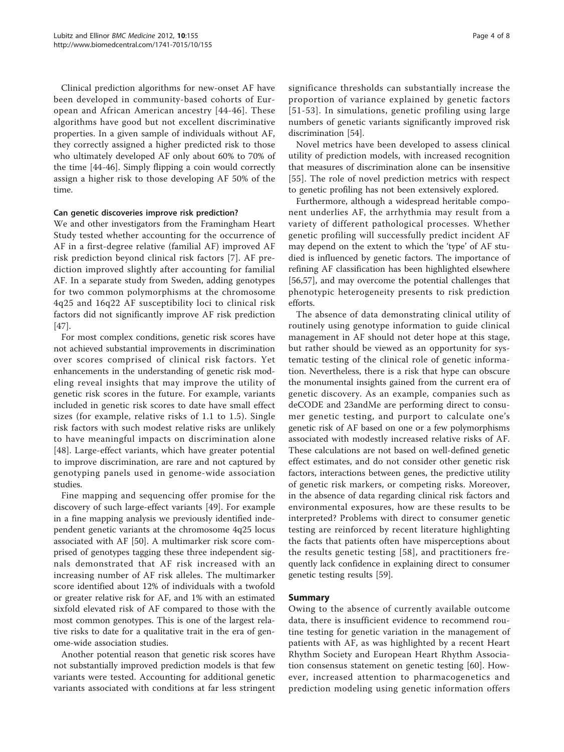Clinical prediction algorithms for new-onset AF have been developed in community-based cohorts of European and African American ancestry [[44](#page-5-0)-[46](#page-5-0)]. These algorithms have good but not excellent discriminative properties. In a given sample of individuals without AF, they correctly assigned a higher predicted risk to those who ultimately developed AF only about 60% to 70% of the time [\[44](#page-5-0)-[46\]](#page-5-0). Simply flipping a coin would correctly assign a higher risk to those developing AF 50% of the time.

## Can genetic discoveries improve risk prediction?

We and other investigators from the Framingham Heart Study tested whether accounting for the occurrence of AF in a first-degree relative (familial AF) improved AF risk prediction beyond clinical risk factors [\[7](#page-4-0)]. AF prediction improved slightly after accounting for familial AF. In a separate study from Sweden, adding genotypes for two common polymorphisms at the chromosome 4q25 and 16q22 AF susceptibility loci to clinical risk factors did not significantly improve AF risk prediction [[47\]](#page-5-0).

For most complex conditions, genetic risk scores have not achieved substantial improvements in discrimination over scores comprised of clinical risk factors. Yet enhancements in the understanding of genetic risk modeling reveal insights that may improve the utility of genetic risk scores in the future. For example, variants included in genetic risk scores to date have small effect sizes (for example, relative risks of 1.1 to 1.5). Single risk factors with such modest relative risks are unlikely to have meaningful impacts on discrimination alone [[48](#page-5-0)]. Large-effect variants, which have greater potential to improve discrimination, are rare and not captured by genotyping panels used in genome-wide association studies.

Fine mapping and sequencing offer promise for the discovery of such large-effect variants [\[49](#page-5-0)]. For example in a fine mapping analysis we previously identified independent genetic variants at the chromosome 4q25 locus associated with AF [[50\]](#page-5-0). A multimarker risk score comprised of genotypes tagging these three independent signals demonstrated that AF risk increased with an increasing number of AF risk alleles. The multimarker score identified about 12% of individuals with a twofold or greater relative risk for AF, and 1% with an estimated sixfold elevated risk of AF compared to those with the most common genotypes. This is one of the largest relative risks to date for a qualitative trait in the era of genome-wide association studies.

Another potential reason that genetic risk scores have not substantially improved prediction models is that few variants were tested. Accounting for additional genetic variants associated with conditions at far less stringent significance thresholds can substantially increase the proportion of variance explained by genetic factors [[51-](#page-5-0)[53](#page-6-0)]. In simulations, genetic profiling using large numbers of genetic variants significantly improved risk discrimination [[54\]](#page-6-0).

Novel metrics have been developed to assess clinical utility of prediction models, with increased recognition that measures of discrimination alone can be insensitive [[55](#page-6-0)]. The role of novel prediction metrics with respect to genetic profiling has not been extensively explored.

Furthermore, although a widespread heritable component underlies AF, the arrhythmia may result from a variety of different pathological processes. Whether genetic profiling will successfully predict incident AF may depend on the extent to which the 'type' of AF studied is influenced by genetic factors. The importance of refining AF classification has been highlighted elsewhere [[56,57\]](#page-6-0), and may overcome the potential challenges that phenotypic heterogeneity presents to risk prediction efforts.

The absence of data demonstrating clinical utility of routinely using genotype information to guide clinical management in AF should not deter hope at this stage, but rather should be viewed as an opportunity for systematic testing of the clinical role of genetic information. Nevertheless, there is a risk that hype can obscure the monumental insights gained from the current era of genetic discovery. As an example, companies such as deCODE and 23andMe are performing direct to consumer genetic testing, and purport to calculate one's genetic risk of AF based on one or a few polymorphisms associated with modestly increased relative risks of AF. These calculations are not based on well-defined genetic effect estimates, and do not consider other genetic risk factors, interactions between genes, the predictive utility of genetic risk markers, or competing risks. Moreover, in the absence of data regarding clinical risk factors and environmental exposures, how are these results to be interpreted? Problems with direct to consumer genetic testing are reinforced by recent literature highlighting the facts that patients often have misperceptions about the results genetic testing [[58\]](#page-6-0), and practitioners frequently lack confidence in explaining direct to consumer genetic testing results [\[59\]](#page-6-0).

## Summary

Owing to the absence of currently available outcome data, there is insufficient evidence to recommend routine testing for genetic variation in the management of patients with AF, as was highlighted by a recent Heart Rhythm Society and European Heart Rhythm Association consensus statement on genetic testing [\[60](#page-6-0)]. However, increased attention to pharmacogenetics and prediction modeling using genetic information offers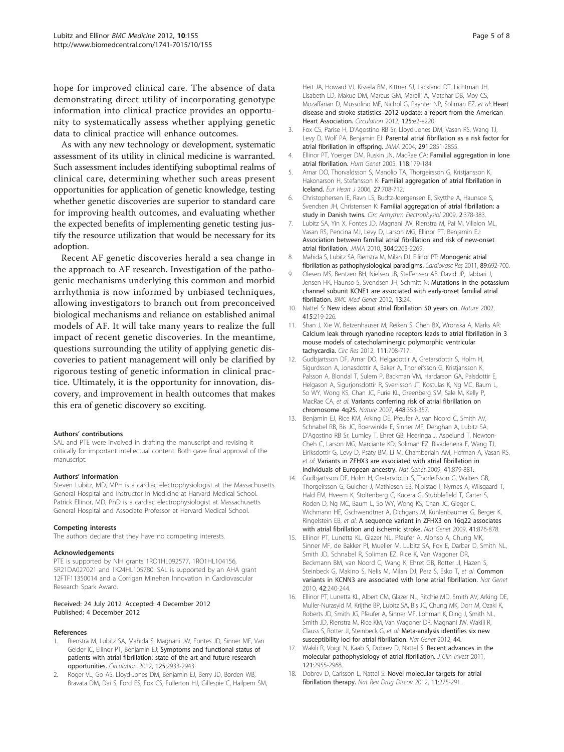<span id="page-4-0"></span>hope for improved clinical care. The absence of data demonstrating direct utility of incorporating genotype information into clinical practice provides an opportunity to systematically assess whether applying genetic data to clinical practice will enhance outcomes.

As with any new technology or development, systematic assessment of its utility in clinical medicine is warranted. Such assessment includes identifying suboptimal realms of clinical care, determining whether such areas present opportunities for application of genetic knowledge, testing whether genetic discoveries are superior to standard care for improving health outcomes, and evaluating whether the expected benefits of implementing genetic testing justify the resource utilization that would be necessary for its adoption.

Recent AF genetic discoveries herald a sea change in the approach to AF research. Investigation of the pathogenic mechanisms underlying this common and morbid arrhythmia is now informed by unbiased techniques, allowing investigators to branch out from preconceived biological mechanisms and reliance on established animal models of AF. It will take many years to realize the full impact of recent genetic discoveries. In the meantime, questions surrounding the utility of applying genetic discoveries to patient management will only be clarified by rigorous testing of genetic information in clinical practice. Ultimately, it is the opportunity for innovation, discovery, and improvement in health outcomes that makes this era of genetic discovery so exciting.

#### Authors' contributions

SAL and PTE were involved in drafting the manuscript and revising it critically for important intellectual content. Both gave final approval of the manuscript.

#### Authors' information

Steven Lubitz, MD, MPH is a cardiac electrophysiologist at the Massachusetts General Hospital and Instructor in Medicine at Harvard Medical School. Patrick Ellinor, MD, PhD is a cardiac electrophysiologist at Massachusetts General Hospital and Associate Professor at Harvard Medical School.

#### Competing interests

The authors declare that they have no competing interests.

#### Acknowledgements

PTE is supported by NIH grants 1RO1HL092577, 1RO1HL104156, 5R21DA027021 and 1K24HL105780. SAL is supported by an AHA grant 12FTF11350014 and a Corrigan Minehan Innovation in Cardiovascular Research Spark Award.

#### Received: 24 July 2012 Accepted: 4 December 2012 Published: 4 December 2012

#### References

- Rienstra M, Lubitz SA, Mahida S, Magnani JW, Fontes JD, Sinner MF, Van Gelder IC, Ellinor PT, Benjamin EJ: [Symptoms and functional status of](http://www.ncbi.nlm.nih.gov/pubmed/22689930?dopt=Abstract) [patients with atrial fibrillation: state of the art and future research](http://www.ncbi.nlm.nih.gov/pubmed/22689930?dopt=Abstract) [opportunities.](http://www.ncbi.nlm.nih.gov/pubmed/22689930?dopt=Abstract) Circulation 2012, 125:2933-2943.
- 2. Roger VL, Go AS, Lloyd-Jones DM, Benjamin EJ, Berry JD, Borden WB, Bravata DM, Dai S, Ford ES, Fox CS, Fullerton HJ, Gillespie C, Hailpern SM,

Heit JA, Howard VJ, Kissela BM, Kittner SJ, Lackland DT, Lichtman JH, Lisabeth LD, Makuc DM, Marcus GM, Marelli A, Matchar DB, Moy CS, Mozaffarian D, Mussolino ME, Nichol G, Paynter NP, Soliman EZ, et al: [Heart](http://www.ncbi.nlm.nih.gov/pubmed/22179539?dopt=Abstract) disease and stroke statistics–[2012 update: a report from the American](http://www.ncbi.nlm.nih.gov/pubmed/22179539?dopt=Abstract) [Heart Association.](http://www.ncbi.nlm.nih.gov/pubmed/22179539?dopt=Abstract) Circulation 2012, 125:e2-e220.

- 3. Fox CS, Parise H, D'Agostino RB Sr, Lloyd-Jones DM, Vasan RS, Wang TJ, Levy D, Wolf PA, Benjamin EJ: [Parental atrial fibrillation as a risk factor for](http://www.ncbi.nlm.nih.gov/pubmed/15199036?dopt=Abstract) [atrial fibrillation in offspring.](http://www.ncbi.nlm.nih.gov/pubmed/15199036?dopt=Abstract) JAMA 2004, 291:2851-2855.
- 4. Ellinor PT, Yoerger DM, Ruskin JN, MacRae CA: [Familial aggregation in lone](http://www.ncbi.nlm.nih.gov/pubmed/16133178?dopt=Abstract) [atrial fibrillation.](http://www.ncbi.nlm.nih.gov/pubmed/16133178?dopt=Abstract) Hum Genet 2005, 118:179-184.
- 5. Arnar DO, Thorvaldsson S, Manolio TA, Thorgeirsson G, Kristjansson K, Hakonarson H, Stefansson K: [Familial aggregation of atrial fibrillation in](http://www.ncbi.nlm.nih.gov/pubmed/16428254?dopt=Abstract) [Iceland.](http://www.ncbi.nlm.nih.gov/pubmed/16428254?dopt=Abstract) Eur Heart J 2006, 27:708-712.
- 6. Christophersen IE, Ravn LS, Budtz-Joergensen E, Skytthe A, Haunsoe S, Svendsen JH, Christensen K: [Familial aggregation of atrial fibrillation: a](http://www.ncbi.nlm.nih.gov/pubmed/19808493?dopt=Abstract) [study in Danish twins.](http://www.ncbi.nlm.nih.gov/pubmed/19808493?dopt=Abstract) Circ Arrhythm Electrophysiol 2009, 2:378-383.
- 7. Lubitz SA, Yin X, Fontes JD, Magnani JW, Rienstra M, Pai M, Villalon ML, Vasan RS, Pencina MJ, Levy D, Larson MG, Ellinor PT, Benjamin EJ: [Association between familial atrial fibrillation and risk of new-onset](http://www.ncbi.nlm.nih.gov/pubmed/21076174?dopt=Abstract) [atrial fibrillation.](http://www.ncbi.nlm.nih.gov/pubmed/21076174?dopt=Abstract) JAMA 2010, 304:2263-2269.
- 8. Mahida S, Lubitz SA, Rienstra M, Milan DJ, Ellinor PT: [Monogenic atrial](http://www.ncbi.nlm.nih.gov/pubmed/21123219?dopt=Abstract) [fibrillation as pathophysiological paradigms.](http://www.ncbi.nlm.nih.gov/pubmed/21123219?dopt=Abstract) Cardiovasc Res 2011, 89:692-700.
- 9. Olesen MS, Bentzen BH, Nielsen JB, Steffensen AB, David JP, Jabbari J, Jensen HK, Haunso S, Svendsen JH, Schmitt N: [Mutations in the potassium](http://www.ncbi.nlm.nih.gov/pubmed/22471742?dopt=Abstract) [channel subunit KCNE1 are associated with early-onset familial atrial](http://www.ncbi.nlm.nih.gov/pubmed/22471742?dopt=Abstract) [fibrillation.](http://www.ncbi.nlm.nih.gov/pubmed/22471742?dopt=Abstract) BMC Med Genet 2012, 13:24.
- 10. Nattel S: [New ideas about atrial fibrillation 50 years on.](http://www.ncbi.nlm.nih.gov/pubmed/11805846?dopt=Abstract) Nature 2002, 415:219-226.
- 11. Shan J, Xie W, Betzenhauser M, Reiken S, Chen BX, Wronska A, Marks AR: [Calcium leak through ryanodine receptors leads to atrial fibrillation in 3](http://www.ncbi.nlm.nih.gov/pubmed/22828895?dopt=Abstract) [mouse models of catecholaminergic polymorphic ventricular](http://www.ncbi.nlm.nih.gov/pubmed/22828895?dopt=Abstract) [tachycardia.](http://www.ncbi.nlm.nih.gov/pubmed/22828895?dopt=Abstract) Circ Res 2012, 111:708-717.
- 12. Gudbjartsson DF, Arnar DO, Helgadottir A, Gretarsdottir S, Holm H, Sigurdsson A, Jonasdottir A, Baker A, Thorleifsson G, Kristjansson K, Palsson A, Blondal T, Sulem P, Backman VM, Hardarson GA, Palsdottir E, Helgason A, Sigurjonsdottir R, Sverrisson JT, Kostulas K, Ng MC, Baum L, So WY, Wong KS, Chan JC, Furie KL, Greenberg SM, Sale M, Kelly P, MacRae CA, et al: [Variants conferring risk of atrial fibrillation on](http://www.ncbi.nlm.nih.gov/pubmed/17603472?dopt=Abstract) [chromosome 4q25.](http://www.ncbi.nlm.nih.gov/pubmed/17603472?dopt=Abstract) Nature 2007, 448:353-357.
- 13. Benjamin EJ, Rice KM, Arking DE, Pfeufer A, van Noord C, Smith AV, Schnabel RB, Bis JC, Boerwinkle E, Sinner MF, Dehghan A, Lubitz SA, D'Agostino RB Sr, Lumley T, Ehret GB, Heeringa J, Aspelund T, Newton-Cheh C, Larson MG, Marciante KD, Soliman EZ, Rivadeneira F, Wang TJ, Eiriksdottir G, Levy D, Psaty BM, Li M, Chamberlain AM, Hofman A, Vasan RS, et al: [Variants in ZFHX3 are associated with atrial fibrillation in](http://www.ncbi.nlm.nih.gov/pubmed/19597492?dopt=Abstract) [individuals of European ancestry.](http://www.ncbi.nlm.nih.gov/pubmed/19597492?dopt=Abstract) Nat Genet 2009, 41:879-881.
- 14. Gudbjartsson DF, Holm H, Gretarsdottir S, Thorleifsson G, Walters GB, Thorgeirsson G, Gulcher J, Mathiesen EB, Njolstad I, Nyrnes A, Wilsgaard T, Hald EM, Hveem K, Stoltenberg C, Kucera G, Stubblefield T, Carter S, Roden D, Ng MC, Baum L, So WY, Wong KS, Chan JC, Gieger C, Wichmann HE, Gschwendtner A, Dichgans M, Kuhlenbaumer G, Berger K, Ringelstein EB, et al: [A sequence variant in ZFHX3 on 16q22 associates](http://www.ncbi.nlm.nih.gov/pubmed/19597491?dopt=Abstract) [with atrial fibrillation and ischemic stroke.](http://www.ncbi.nlm.nih.gov/pubmed/19597491?dopt=Abstract) Nat Genet 2009, 41:876-878.
- 15. Ellinor PT, Lunetta KL, Glazer NL, Pfeufer A, Alonso A, Chung MK, Sinner MF, de Bakker PI, Mueller M, Lubitz SA, Fox E, Darbar D, Smith NL, Smith JD, Schnabel R, Soliman EZ, Rice K, Van Wagoner DR, Beckmann BM, van Noord C, Wang K, Ehret GB, Rotter JI, Hazen S, Steinbeck G, Makino S, Nelis M, Milan DJ, Perz S, Esko T, et al: [Common](http://www.ncbi.nlm.nih.gov/pubmed/20173747?dopt=Abstract) [variants in KCNN3 are associated with lone atrial fibrillation.](http://www.ncbi.nlm.nih.gov/pubmed/20173747?dopt=Abstract) Nat Genet 2010, 42:240-244.
- 16. Ellinor PT, Lunetta KL, Albert CM, Glazer NL, Ritchie MD, Smith AV, Arking DE, Muller-Nurasyid M, Krijthe BP, Lubitz SA, Bis JC, Chung MK, Dorr M, Ozaki K, Roberts JD, Smith JG, Pfeufer A, Sinner MF, Lohman K, Ding J, Smith NL, Smith JD, Rienstra M, Rice KM, Van Wagoner DR, Magnani JW, Wakili R, Clauss S, Rotter Jl, Steinbeck G, et al: Meta-analysis identifies six new susceptibility loci for atrial fibrillation. Nat Genet 2012, 44.
- 17. Wakili R, Voigt N, Kaab S, Dobrev D, Nattel S: [Recent advances in the](http://www.ncbi.nlm.nih.gov/pubmed/21804195?dopt=Abstract) [molecular pathophysiology of atrial fibrillation.](http://www.ncbi.nlm.nih.gov/pubmed/21804195?dopt=Abstract) J Clin Invest 2011, 121:2955-2968.
- 18. Dobrev D, Carlsson L, Nattel S: [Novel molecular targets for atrial](http://www.ncbi.nlm.nih.gov/pubmed/22460122?dopt=Abstract) [fibrillation therapy.](http://www.ncbi.nlm.nih.gov/pubmed/22460122?dopt=Abstract) Nat Rev Drug Discov 2012, 11:275-291.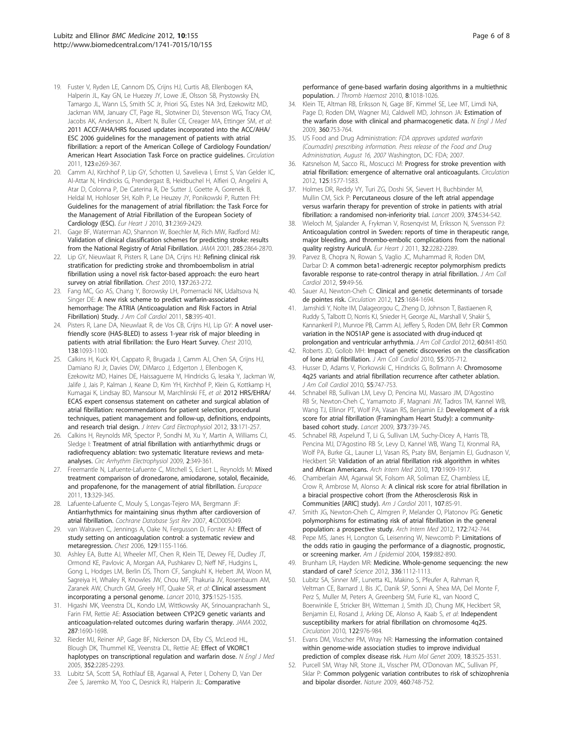- <span id="page-5-0"></span>19. Fuster V, Ryden LE, Cannom DS, Crijns HJ, Curtis AB, Ellenbogen KA, Halperin JL, Kay GN, Le Huezey JY, Lowe JE, Olsson SB, Prystowsky EN, Tamargo JL, Wann LS, Smith SC Jr, Priori SG, Estes NA 3rd, Ezekowitz MD, Jackman WM, January CT, Page RL, Slotwiner DJ, Stevenson WG, Tracy CM, Jacobs AK, Anderson JL, Albert N, Buller CE, Creager MA, Ettinger SM, et al: [2011 ACCF/AHA/HRS focused updates incorporated into the ACC/AHA/](http://www.ncbi.nlm.nih.gov/pubmed/21382897?dopt=Abstract) [ESC 2006 guidelines for the management of patients with atrial](http://www.ncbi.nlm.nih.gov/pubmed/21382897?dopt=Abstract) [fibrillation: a report of the American College of Cardiology Foundation/](http://www.ncbi.nlm.nih.gov/pubmed/21382897?dopt=Abstract) [American Heart Association Task Force on practice guidelines.](http://www.ncbi.nlm.nih.gov/pubmed/21382897?dopt=Abstract) Circulation 2011, 123:e269-367.
- 20. Camm AJ, Kirchhof P, Lip GY, Schotten U, Savelieva I, Ernst S, Van Gelder IC, Al-Attar N, Hindricks G, Prendergast B, Heidbuchel H, Alfieri O, Angelini A, Atar D, Colonna P, De Caterina R, De Sutter J, Goette A, Gorenek B, Heldal M, Hohloser SH, Kolh P, Le Heuzey JY, Ponikowski P, Rutten FH: [Guidelines for the management of atrial fibrillation: the Task Force for](http://www.ncbi.nlm.nih.gov/pubmed/20802247?dopt=Abstract) [the Management of Atrial Fibrillation of the European Society of](http://www.ncbi.nlm.nih.gov/pubmed/20802247?dopt=Abstract) [Cardiology \(ESC\).](http://www.ncbi.nlm.nih.gov/pubmed/20802247?dopt=Abstract) Eur Heart J 2010, 31:2369-2429.
- 21. Gage BF, Waterman AD, Shannon W, Boechler M, Rich MW, Radford MJ: [Validation of clinical classification schemes for predicting stroke: results](http://www.ncbi.nlm.nih.gov/pubmed/11401607?dopt=Abstract) [from the National Registry of Atrial Fibrillation.](http://www.ncbi.nlm.nih.gov/pubmed/11401607?dopt=Abstract) JAMA 2001, 285:2864-2870.
- 22. Lip GY, Nieuwlaat R, Pisters R, Lane DA, Crijns HJ: [Refining clinical risk](http://www.ncbi.nlm.nih.gov/pubmed/19762550?dopt=Abstract) [stratification for predicting stroke and thromboembolism in atrial](http://www.ncbi.nlm.nih.gov/pubmed/19762550?dopt=Abstract) [fibrillation using a novel risk factor-based approach: the euro heart](http://www.ncbi.nlm.nih.gov/pubmed/19762550?dopt=Abstract) [survey on atrial fibrillation.](http://www.ncbi.nlm.nih.gov/pubmed/19762550?dopt=Abstract) Chest 2010, 137:263-272.
- 23. Fang MC, Go AS, Chang Y, Borowsky LH, Pomernacki NK, Udaltsova N, Singer DE: [A new risk scheme to predict warfarin-associated](http://www.ncbi.nlm.nih.gov/pubmed/21757117?dopt=Abstract) [hemorrhage: The ATRIA \(Anticoagulation and Risk Factors in Atrial](http://www.ncbi.nlm.nih.gov/pubmed/21757117?dopt=Abstract) [Fibrillation\) Study.](http://www.ncbi.nlm.nih.gov/pubmed/21757117?dopt=Abstract) J Am Coll Cardiol 2011, 58:395-401.
- 24. Pisters R, Lane DA, Nieuwlaat R, de Vos CB, Crijns HJ, Lip GY: [A novel user](http://www.ncbi.nlm.nih.gov/pubmed/20299623?dopt=Abstract)[friendly score \(HAS-BLED\) to assess 1-year risk of major bleeding in](http://www.ncbi.nlm.nih.gov/pubmed/20299623?dopt=Abstract) [patients with atrial fibrillation: the Euro Heart Survey.](http://www.ncbi.nlm.nih.gov/pubmed/20299623?dopt=Abstract) Chest 2010, 138:1093-1100.
- 25. Calkins H, Kuck KH, Cappato R, Brugada J, Camm AJ, Chen SA, Crijns HJ, Damiano RJ Jr, Davies DW, DiMarco J, Edgerton J, Ellenbogen K, Ezekowitz MD, Haines DE, Haissaguerre M, Hindricks G, Iesaka Y, Jackman W, Jalife J, Jais P, Kalman J, Keane D, Kim YH, Kirchhof P, Klein G, Kottkamp H, Kumagai K, Lindsay BD, Mansour M, Marchlinski FE, et al: [2012 HRS/EHRA/](http://www.ncbi.nlm.nih.gov/pubmed/22382715?dopt=Abstract) [ECAS expert consensus statement on catheter and surgical ablation of](http://www.ncbi.nlm.nih.gov/pubmed/22382715?dopt=Abstract) [atrial fibrillation: recommendations for patient selection, procedural](http://www.ncbi.nlm.nih.gov/pubmed/22382715?dopt=Abstract) [techniques, patient management and follow-up, definitions, endpoints,](http://www.ncbi.nlm.nih.gov/pubmed/22382715?dopt=Abstract) [and research trial design.](http://www.ncbi.nlm.nih.gov/pubmed/22382715?dopt=Abstract) J Interv Card Electrophysiol 2012, 33:171-257.
- 26. Calkins H, Reynolds MR, Spector P, Sondhi M, Xu Y, Martin A, Williams CJ, Sledge I: [Treatment of atrial fibrillation with antiarrhythmic drugs or](http://www.ncbi.nlm.nih.gov/pubmed/19808490?dopt=Abstract) [radiofrequency ablation: two systematic literature reviews and meta](http://www.ncbi.nlm.nih.gov/pubmed/19808490?dopt=Abstract)[analyses.](http://www.ncbi.nlm.nih.gov/pubmed/19808490?dopt=Abstract) Circ Arrhythm Electrophysiol 2009, 2:349-361.
- 27. Freemantle N, Lafuente-Lafuente C, Mitchell S, Eckert L, Reynolds M: [Mixed](http://www.ncbi.nlm.nih.gov/pubmed/21227948?dopt=Abstract) [treatment comparison of dronedarone, amiodarone, sotalol, flecainide,](http://www.ncbi.nlm.nih.gov/pubmed/21227948?dopt=Abstract) [and propafenone, for the management of atrial fibrillation.](http://www.ncbi.nlm.nih.gov/pubmed/21227948?dopt=Abstract) Europace 2011, 13:329-345.
- 28. Lafuente-Lafuente C, Mouly S, Longas-Tejero MA, Bergmann JF: [Antiarrhythmics for maintaining sinus rhythm after cardioversion of](http://www.ncbi.nlm.nih.gov/pubmed/17943835?dopt=Abstract) [atrial fibrillation.](http://www.ncbi.nlm.nih.gov/pubmed/17943835?dopt=Abstract) Cochrane Database Syst Rev 2007, 4:CD005049.
- 29. van Walraven C, Jennings A, Oake N, Fergusson D, Forster AJ: [Effect of](http://www.ncbi.nlm.nih.gov/pubmed/16685005?dopt=Abstract) [study setting on anticoagulation control: a systematic review and](http://www.ncbi.nlm.nih.gov/pubmed/16685005?dopt=Abstract) [metaregression.](http://www.ncbi.nlm.nih.gov/pubmed/16685005?dopt=Abstract) Chest 2006, 129:1155-1166.
- 30. Ashley EA, Butte AJ, Wheeler MT, Chen R, Klein TE, Dewey FE, Dudley JT, Ormond KE, Pavlovic A, Morgan AA, Pushkarev D, Neff NF, Hudgins L, Gong L, Hodges LM, Berlin DS, Thorn CF, Sangkuhl K, Hebert JM, Woon M, Sagreiya H, Whaley R, Knowles JW, Chou MF, Thakuria JV, Rosenbaum AM, Zaranek AW, Church GM, Greely HT, Quake SR, et al: [Clinical assessment](http://www.ncbi.nlm.nih.gov/pubmed/20435227?dopt=Abstract) [incorporating a personal genome.](http://www.ncbi.nlm.nih.gov/pubmed/20435227?dopt=Abstract) Lancet 2010, 375:1525-1535.
- 31. Higashi MK, Veenstra DL, Kondo LM, Wittkowsky AK, Srinouanprachanh SL, Farin FM, Rettie AE: [Association between CYP2C9 genetic variants and](http://www.ncbi.nlm.nih.gov/pubmed/11926893?dopt=Abstract) [anticoagulation-related outcomes during warfarin therapy.](http://www.ncbi.nlm.nih.gov/pubmed/11926893?dopt=Abstract) JAMA 2002, 287:1690-1698.
- 32. Rieder MJ, Reiner AP, Gage BF, Nickerson DA, Eby CS, McLeod HL, Blough DK, Thummel KE, Veenstra DL, Rettie AE: [Effect of VKORC1](http://www.ncbi.nlm.nih.gov/pubmed/15930419?dopt=Abstract) [haplotypes on transcriptional regulation and warfarin dose.](http://www.ncbi.nlm.nih.gov/pubmed/15930419?dopt=Abstract) N Engl J Med 2005, 352:2285-2293.
- 33. Lubitz SA, Scott SA, Rothlauf EB, Agarwal A, Peter I, Doheny D, Van Der Zee S, Jaremko M, Yoo C, Desnick RJ, Halperin JL: [Comparative](http://www.ncbi.nlm.nih.gov/pubmed/20128861?dopt=Abstract)

[performance of gene-based warfarin dosing algorithms in a multiethnic](http://www.ncbi.nlm.nih.gov/pubmed/20128861?dopt=Abstract) [population.](http://www.ncbi.nlm.nih.gov/pubmed/20128861?dopt=Abstract) J Thromb Haemost 2010, 8:1018-1026.

- 34. Klein TE, Altman RB, Eriksson N, Gage BF, Kimmel SE, Lee MT, Limdi NA, Page D, Roden DM, Wagner MJ, Caldwell MD, Johnson JA: [Estimation of](http://www.ncbi.nlm.nih.gov/pubmed/19228618?dopt=Abstract) [the warfarin dose with clinical and pharmacogenetic data.](http://www.ncbi.nlm.nih.gov/pubmed/19228618?dopt=Abstract) N Engl J Med 2009, 360:753-764.
- 35. US Food and Drug Administration: FDA approves updated warfarin (Coumadin) prescribing information. Press release of the Food and Drug Administration, August 16, 2007 Washington, DC: FDA; 2007.
- 36. Katsnelson M, Sacco RL, Moscucci M: [Progress for stroke prevention with](http://www.ncbi.nlm.nih.gov/pubmed/22451607?dopt=Abstract) [atrial fibrillation: emergence of alternative oral anticoagulants.](http://www.ncbi.nlm.nih.gov/pubmed/22451607?dopt=Abstract) Circulation 2012, 125:1577-1583.
- 37. Holmes DR, Reddy VY, Turi ZG, Doshi SK, Sievert H, Buchbinder M, Mullin CM, Sick P: [Percutaneous closure of the left atrial appendage](http://www.ncbi.nlm.nih.gov/pubmed/19683639?dopt=Abstract) [versus warfarin therapy for prevention of stroke in patients with atrial](http://www.ncbi.nlm.nih.gov/pubmed/19683639?dopt=Abstract) [fibrillation: a randomised non-inferiority trial.](http://www.ncbi.nlm.nih.gov/pubmed/19683639?dopt=Abstract) Lancet 2009, 374:534-542.
- 38. Wieloch M, Sjalander A, Frykman V, Rosenqvist M, Eriksson N, Svensson PJ: [Anticoagulation control in Sweden: reports of time in therapeutic range,](http://www.ncbi.nlm.nih.gov/pubmed/21616951?dopt=Abstract) [major bleeding, and thrombo-embolic complications from the national](http://www.ncbi.nlm.nih.gov/pubmed/21616951?dopt=Abstract) [quality registry AuriculA.](http://www.ncbi.nlm.nih.gov/pubmed/21616951?dopt=Abstract) Eur Heart J 2011, 32:2282-2289.
- 39. Parvez B, Chopra N, Rowan S, Vaglio JC, Muhammad R, Roden DM, Darbar D: [A common beta1-adrenergic receptor polymorphism predicts](http://www.ncbi.nlm.nih.gov/pubmed/22192668?dopt=Abstract) [favorable response to rate-control therapy in atrial fibrillation.](http://www.ncbi.nlm.nih.gov/pubmed/22192668?dopt=Abstract) J Am Coll Cardiol 2012, 59:49-56.
- 40. Sauer AJ, Newton-Cheh C: [Clinical and genetic determinants of torsade](http://www.ncbi.nlm.nih.gov/pubmed/22474311?dopt=Abstract) [de pointes risk.](http://www.ncbi.nlm.nih.gov/pubmed/22474311?dopt=Abstract) Circulation 2012, 125:1684-1694.
- 41. Jamshidi Y, Nolte IM, Dalageorgou C, Zheng D, Johnson T, Bastiaenen R, Ruddy S, Talbott D, Norris KJ, Snieder H, George AL, Marshall V, Shakir S, Kannankeril PJ, Munroe PB, Camm AJ, Jeffery S, Roden DM, Behr ER: [Common](http://www.ncbi.nlm.nih.gov/pubmed/22682551?dopt=Abstract) [variation in the NOS1AP gene is associated with drug-induced qt](http://www.ncbi.nlm.nih.gov/pubmed/22682551?dopt=Abstract) [prolongation and ventricular arrhythmia.](http://www.ncbi.nlm.nih.gov/pubmed/22682551?dopt=Abstract) J Am Coll Cardiol 2012, 60:841-850.
- 42. Roberts JD, Gollob MH: [Impact of genetic discoveries on the classification](http://www.ncbi.nlm.nih.gov/pubmed/20170805?dopt=Abstract) [of lone atrial fibrillation.](http://www.ncbi.nlm.nih.gov/pubmed/20170805?dopt=Abstract) J Am Coll Cardiol 2010, 55:705-712.
- 43. Husser D, Adams V, Piorkowski C, Hindricks G, Bollmann A: [Chromosome](http://www.ncbi.nlm.nih.gov/pubmed/20170812?dopt=Abstract) [4q25 variants and atrial fibrillation recurrence after catheter ablation.](http://www.ncbi.nlm.nih.gov/pubmed/20170812?dopt=Abstract) J Am Coll Cardiol 2010, 55:747-753.
- 44. Schnabel RB, Sullivan LM, Levy D, Pencina MJ, Massaro JM, D'Agostino RB Sr, Newton-Cheh C, Yamamoto JF, Magnani JW, Tadros TM, Kannel WB, Wang TJ, Ellinor PT, Wolf PA, Vasan RS, Benjamin EJ: [Development of a risk](http://www.ncbi.nlm.nih.gov/pubmed/19249635?dopt=Abstract) [score for atrial fibrillation \(Framingham Heart Study\): a community](http://www.ncbi.nlm.nih.gov/pubmed/19249635?dopt=Abstract)[based cohort study.](http://www.ncbi.nlm.nih.gov/pubmed/19249635?dopt=Abstract) Lancet 2009, 373:739-745.
- 45. Schnabel RB, Aspelund T, Li G, Sullivan LM, Suchy-Dicey A, Harris TB, Pencina MJ, D'Agostino RB Sr, Levy D, Kannel WB, Wang TJ, Kronmal RA, Wolf PA, Burke GL, Launer LJ, Vasan RS, Psaty BM, Benjamin EJ, Gudnason V, Heckbert SR: [Validation of an atrial fibrillation risk algorithm in whites](http://www.ncbi.nlm.nih.gov/pubmed/21098350?dopt=Abstract) [and African Americans.](http://www.ncbi.nlm.nih.gov/pubmed/21098350?dopt=Abstract) Arch Intern Med 2010, 170:1909-1917.
- 46. Chamberlain AM, Agarwal SK, Folsom AR, Soliman EZ, Chambless LE, Crow R, Ambrose M, Alonso A: [A clinical risk score for atrial fibrillation in](http://www.ncbi.nlm.nih.gov/pubmed/21146692?dopt=Abstract) [a biracial prospective cohort \(from the Atherosclerosis Risk in](http://www.ncbi.nlm.nih.gov/pubmed/21146692?dopt=Abstract) [Communities \[ARIC\] study\).](http://www.ncbi.nlm.nih.gov/pubmed/21146692?dopt=Abstract) Am J Cardiol 2011, 107:85-91.
- 47. Smith JG, Newton-Cheh C, Almgren P, Melander O, Platonov PG: [Genetic](http://www.ncbi.nlm.nih.gov/pubmed/22782207?dopt=Abstract) [polymorphisms for estimating risk of atrial fibrillation in the general](http://www.ncbi.nlm.nih.gov/pubmed/22782207?dopt=Abstract) [population: a prospective study.](http://www.ncbi.nlm.nih.gov/pubmed/22782207?dopt=Abstract) Arch Intern Med 2012, 172:742-744.
- 48. Pepe MS, Janes H, Longton G, Leisenring W, Newcomb P: [Limitations of](http://www.ncbi.nlm.nih.gov/pubmed/15105181?dopt=Abstract) [the odds ratio in gauging the performance of a diagnostic, prognostic,](http://www.ncbi.nlm.nih.gov/pubmed/15105181?dopt=Abstract) [or screening marker.](http://www.ncbi.nlm.nih.gov/pubmed/15105181?dopt=Abstract) Am J Epidemiol 2004, 159:882-890.
- 49. Brunham LR, Hayden MR: [Medicine. Whole-genome sequencing: the new](http://www.ncbi.nlm.nih.gov/pubmed/22654044?dopt=Abstract) [standard of care?](http://www.ncbi.nlm.nih.gov/pubmed/22654044?dopt=Abstract) Science 2012, 336:1112-1113.
- 50. Lubitz SA, Sinner MF, Lunetta KL, Makino S, Pfeufer A, Rahman R, Veltman CE, Barnard J, Bis JC, Danik SP, Sonni A, Shea MA, Del Monte F, Perz S, Muller M, Peters A, Greenberg SM, Furie KL, van Noord C, Boerwinkle E, Stricker BH, Witteman J, Smith JD, Chung MK, Heckbert SR, Benjamin EJ, Rosand J, Arking DE, Alonso A, Kaab S, et al: [Independent](http://www.ncbi.nlm.nih.gov/pubmed/20733104?dopt=Abstract) [susceptibility markers for atrial fibrillation on chromosome 4q25.](http://www.ncbi.nlm.nih.gov/pubmed/20733104?dopt=Abstract) Circulation 2010, 122:976-984.
- 51. Evans DM, Visscher PM, Wray NR: [Harnessing the information contained](http://www.ncbi.nlm.nih.gov/pubmed/19553258?dopt=Abstract) [within genome-wide association studies to improve individual](http://www.ncbi.nlm.nih.gov/pubmed/19553258?dopt=Abstract) [prediction of complex disease risk.](http://www.ncbi.nlm.nih.gov/pubmed/19553258?dopt=Abstract) Hum Mol Genet 2009, 18:3525-3531.
- 52. Purcell SM, Wray NR, Stone JL, Visscher PM, O'Donovan MC, Sullivan PF, Sklar P: [Common polygenic variation contributes to risk of schizophrenia](http://www.ncbi.nlm.nih.gov/pubmed/19571811?dopt=Abstract) [and bipolar disorder.](http://www.ncbi.nlm.nih.gov/pubmed/19571811?dopt=Abstract) Nature 2009, 460:748-752.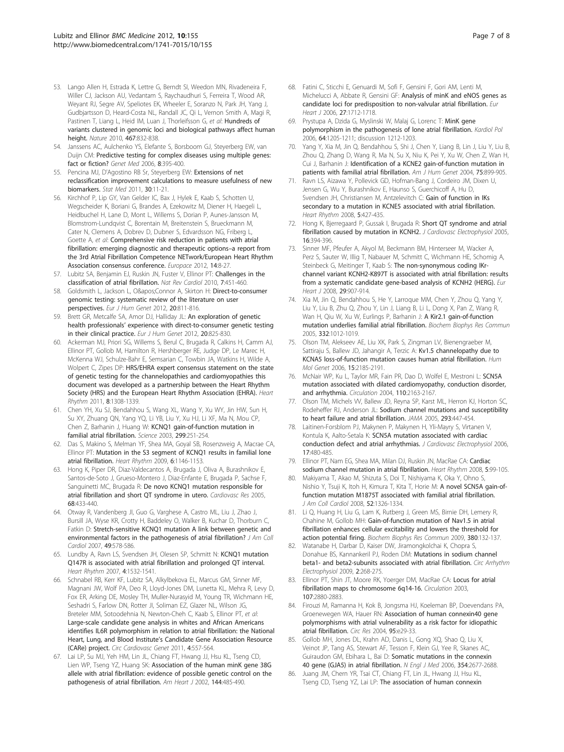- <span id="page-6-0"></span>53. Lango Allen H, Estrada K, Lettre G, Berndt SI, Weedon MN, Rivadeneira F, Willer CJ, Jackson AU, Vedantam S, Raychaudhuri S, Ferreira T, Wood AR, Weyant RJ, Segre AV, Speliotes EK, Wheeler E, Soranzo N, Park JH, Yang J, Gudbjartsson D, Heard-Costa NL, Randall JC, Qi L, Vernon Smith A, Magi R, Pastinen T, Liang L, Heid IM, Luan J, Thorleifsson G, et al: [Hundreds of](http://www.ncbi.nlm.nih.gov/pubmed/20881960?dopt=Abstract) [variants clustered in genomic loci and biological pathways affect human](http://www.ncbi.nlm.nih.gov/pubmed/20881960?dopt=Abstract) [height.](http://www.ncbi.nlm.nih.gov/pubmed/20881960?dopt=Abstract) Nature 2010, 467:832-838.
- 54. Janssens AC, Aulchenko YS, Elefante S, Borsboom GJ, Steyerberg EW, van Duijn CM: [Predictive testing for complex diseases using multiple genes:](http://www.ncbi.nlm.nih.gov/pubmed/16845271?dopt=Abstract) [fact or fiction?](http://www.ncbi.nlm.nih.gov/pubmed/16845271?dopt=Abstract) Genet Med 2006, 8:395-400.
- 55. Pencina MJ, D'Agostino RB Sr, Steyerberg EW: [Extensions of net](http://www.ncbi.nlm.nih.gov/pubmed/21204120?dopt=Abstract) [reclassification improvement calculations to measure usefulness of new](http://www.ncbi.nlm.nih.gov/pubmed/21204120?dopt=Abstract) [biomarkers.](http://www.ncbi.nlm.nih.gov/pubmed/21204120?dopt=Abstract) Stat Med 2011, 30:11-21.
- 56. Kirchhof P, Lip GY, Van Gelder IC, Bax J, Hylek E, Kaab S, Schotten U, Wegscheider K, Boriani G, Brandes A, Ezekowitz M, Diener H, Haegeli L, Heidbuchel H, Lane D, Mont L, Willems S, Dorian P, Aunes-Jansson M, Blomstrom-Lundqvist C, Borentain M, Breitenstein S, Brueckmann M, Cater N, Clemens A, Dobrev D, Dubner S, Edvardsson NG, Friberg L, Goette A, et al: [Comprehensive risk reduction in patients with atrial](http://www.ncbi.nlm.nih.gov/pubmed/21791573?dopt=Abstract) [fibrillation: emerging diagnostic and therapeutic options](http://www.ncbi.nlm.nih.gov/pubmed/21791573?dopt=Abstract)–a report from [the 3rd Atrial Fibrillation Competence NETwork/European Heart Rhythm](http://www.ncbi.nlm.nih.gov/pubmed/21791573?dopt=Abstract) [Association consensus conference.](http://www.ncbi.nlm.nih.gov/pubmed/21791573?dopt=Abstract) Europace 2012, 14:8-27.
- 57. Lubitz SA, Benjamin EJ, Ruskin JN, Fuster V, Ellinor PT: [Challenges in the](http://www.ncbi.nlm.nih.gov/pubmed/20567238?dopt=Abstract) [classification of atrial fibrillation.](http://www.ncbi.nlm.nih.gov/pubmed/20567238?dopt=Abstract) Nat Rev Cardiol 2010, 7:451-460.
- 58. Goldsmith L, Jackson L, O&apos:Connor A, Skirton H: [Direct-to-consumer](http://www.ncbi.nlm.nih.gov/pubmed/22333900?dopt=Abstract) [genomic testing: systematic review of the literature on user](http://www.ncbi.nlm.nih.gov/pubmed/22333900?dopt=Abstract) [perspectives.](http://www.ncbi.nlm.nih.gov/pubmed/22333900?dopt=Abstract) Eur J Hum Genet 2012, 20:811-816.
- 59. Brett GR, Metcalfe SA, Amor DJ, Halliday JL: [An exploration of genetic](http://www.ncbi.nlm.nih.gov/pubmed/22317975?dopt=Abstract) health professionals' [experience with direct-to-consumer genetic testing](http://www.ncbi.nlm.nih.gov/pubmed/22317975?dopt=Abstract) [in their clinical practice.](http://www.ncbi.nlm.nih.gov/pubmed/22317975?dopt=Abstract) Eur J Hum Genet 2012, 20:825-830.
- 60. Ackerman MJ, Priori SG, Willems S, Berul C, Brugada R, Calkins H, Camm AJ, Ellinor PT, Gollob M, Hamilton R, Hershberger RE, Judge DP, Le Marec H, McKenna WJ, Schulze-Bahr E, Semsarian C, Towbin JA, Watkins H, Wilde A, Wolpert C, Zipes DP: [HRS/EHRA expert consensus statement on the state](http://www.ncbi.nlm.nih.gov/pubmed/21787999?dopt=Abstract) [of genetic testing for the channelopathies and cardiomyopathies this](http://www.ncbi.nlm.nih.gov/pubmed/21787999?dopt=Abstract) [document was developed as a partnership between the Heart Rhythm](http://www.ncbi.nlm.nih.gov/pubmed/21787999?dopt=Abstract) [Society \(HRS\) and the European Heart Rhythm Association \(EHRA\).](http://www.ncbi.nlm.nih.gov/pubmed/21787999?dopt=Abstract) Heart Rhythm 2011, 8:1308-1339.
- 61. Chen YH, Xu SJ, Bendahhou S, Wang XL, Wang Y, Xu WY, Jin HW, Sun H, Su XY, Zhuang QN, Yang YQ, Li YB, Liu Y, Xu HJ, Li XF, Ma N, Mou CP, Chen Z, Barhanin J, Huang W: [KCNQ1 gain-of-function mutation in](http://www.ncbi.nlm.nih.gov/pubmed/12522251?dopt=Abstract) [familial atrial fibrillation.](http://www.ncbi.nlm.nih.gov/pubmed/12522251?dopt=Abstract) Science 2003, 299:251-254.
- 62. Das S, Makino S, Melman YF, Shea MA, Goyal SB, Rosenzweig A, Macrae CA, Ellinor PT: [Mutation in the S3 segment of KCNQ1 results in familial lone](http://www.ncbi.nlm.nih.gov/pubmed/19632626?dopt=Abstract) [atrial fibrillation.](http://www.ncbi.nlm.nih.gov/pubmed/19632626?dopt=Abstract) Heart Rhythm 2009, 6:1146-1153.
- 63. Hong K, Piper DR, Diaz-Valdecantos A, Brugada J, Oliva A, Burashnikov E, Santos-de-Soto J, Grueso-Montero J, Diaz-Enfante E, Brugada P, Sachse F, Sanguinetti MC, Brugada R: De novo KCNO1 mutation responsible for [atrial fibrillation and short QT syndrome in utero.](http://www.ncbi.nlm.nih.gov/pubmed/16109388?dopt=Abstract) Cardiovasc Res 2005, 68:433-440.
- 64. Otway R, Vandenberg JI, Guo G, Varghese A, Castro ML, Liu J, Zhao J, Bursill JA, Wyse KR, Crotty H, Baddeley O, Walker B, Kuchar D, Thorburn C, Fatkin D: [Stretch-sensitive KCNQ1 mutation A link between genetic and](http://www.ncbi.nlm.nih.gov/pubmed/17276182?dopt=Abstract) [environmental factors in the pathogenesis of atrial fibrillation?](http://www.ncbi.nlm.nih.gov/pubmed/17276182?dopt=Abstract) J Am Coll Cardiol 2007, 49:578-586.
- 65. Lundby A, Ravn LS, Svendsen JH, Olesen SP, Schmitt N: [KCNQ1 mutation](http://www.ncbi.nlm.nih.gov/pubmed/17997361?dopt=Abstract) [Q147R is associated with atrial fibrillation and prolonged QT interval.](http://www.ncbi.nlm.nih.gov/pubmed/17997361?dopt=Abstract) Heart Rhythm 2007, 4:1532-1541.
- 66. Schnabel RB, Kerr KF, Lubitz SA, Alkylbekova EL, Marcus GM, Sinner MF, Magnani JW, Wolf PA, Deo R, Lloyd-Jones DM, Lunetta KL, Mehra R, Levy D, Fox ER, Arking DE, Mosley TH, Muller-Nurasyid M, Young TR, Wichmann HE, Seshadri S, Farlow DN, Rotter JI, Soliman EZ, Glazer NL, Wilson JG, Breteler MM, Sotoodehnia N, Newton-Cheh C, Kaab S, Ellinor PT, et al: [Large-scale candidate gene analysis in whites and African Americans](http://www.ncbi.nlm.nih.gov/pubmed/21846873?dopt=Abstract) [identifies IL6R polymorphism in relation to atrial fibrillation: the National](http://www.ncbi.nlm.nih.gov/pubmed/21846873?dopt=Abstract) Heart, Lung, and Blood Institute'[s Candidate Gene Association Resource](http://www.ncbi.nlm.nih.gov/pubmed/21846873?dopt=Abstract) [\(CARe\) project.](http://www.ncbi.nlm.nih.gov/pubmed/21846873?dopt=Abstract) Circ Cardiovasc Genet 2011, 4:557-564.
- 67. Lai LP, Su MJ, Yeh HM, Lin JL, Chiang FT, Hwang JJ, Hsu KL, Tseng CD, Lien WP, Tseng YZ, Huang SK: [Association of the human minK gene 38G](http://www.ncbi.nlm.nih.gov/pubmed/12228786?dopt=Abstract) [allele with atrial fibrillation: evidence of possible genetic control on the](http://www.ncbi.nlm.nih.gov/pubmed/12228786?dopt=Abstract) [pathogenesis of atrial fibrillation.](http://www.ncbi.nlm.nih.gov/pubmed/12228786?dopt=Abstract) Am Heart J 2002, 144:485-490.
- 68. Fatini C, Sticchi E, Genuardi M, Sofi F, Gensini F, Gori AM, Lenti M, Michelucci A, Abbate R, Gensini GF: [Analysis of minK and eNOS genes as](http://www.ncbi.nlm.nih.gov/pubmed/16760206?dopt=Abstract) [candidate loci for predisposition to non-valvular atrial fibrillation.](http://www.ncbi.nlm.nih.gov/pubmed/16760206?dopt=Abstract) Eur Heart J 2006, 27:1712-1718.
- 69. Prystupa A, Dzida G, Myslinski W, Malaj G, Lorenc T: [MinK gene](http://www.ncbi.nlm.nih.gov/pubmed/17165161?dopt=Abstract) [polymorphism in the pathogenesis of lone atrial fibrillation.](http://www.ncbi.nlm.nih.gov/pubmed/17165161?dopt=Abstract) Kardiol Pol 2006, 64:1205-1211; discussion 1212-1203.
- 70. Yang Y, Xia M, Jin Q, Bendahhou S, Shi J, Chen Y, Liang B, Lin J, Liu Y, Liu B, Zhou Q, Zhang D, Wang R, Ma N, Su X, Niu K, Pei Y, Xu W, Chen Z, Wan H, Cui J, Barhanin J: [Identification of a KCNE2 gain-of-function mutation in](http://www.ncbi.nlm.nih.gov/pubmed/15368194?dopt=Abstract) [patients with familial atrial fibrillation.](http://www.ncbi.nlm.nih.gov/pubmed/15368194?dopt=Abstract) Am J Hum Genet 2004, 75:899-905.
- 71. Ravn LS, Aizawa Y, Pollevick GD, Hofman-Bang J, Cordeiro JM, Dixen U, Jensen G, Wu Y, Burashnikov E, Haunso S, Guerchicoff A, Hu D, Svendsen JH, Christiansen M, Antzelevitch C: [Gain of function in IKs](http://www.ncbi.nlm.nih.gov/pubmed/18313602?dopt=Abstract) [secondary to a mutation in KCNE5 associated with atrial fibrillation.](http://www.ncbi.nlm.nih.gov/pubmed/18313602?dopt=Abstract) Heart Rhythm 2008, 5:427-435.
- 72. Hong K, Bjerregaard P, Gussak I, Brugada R: [Short QT syndrome and atrial](http://www.ncbi.nlm.nih.gov/pubmed/15828882?dopt=Abstract) [fibrillation caused by mutation in KCNH2.](http://www.ncbi.nlm.nih.gov/pubmed/15828882?dopt=Abstract) J Cardiovasc Electrophysiol 2005, 16:394-396.
- 73. Sinner MF, Pfeufer A, Akyol M, Beckmann BM, Hinterseer M, Wacker A, Perz S, Sauter W, Illig T, Nabauer M, Schmitt C, Wichmann HE, Schomig A, Steinbeck G, Meitinger T, Kaab S: [The non-synonymous coding IKr](http://www.ncbi.nlm.nih.gov/pubmed/18222980?dopt=Abstract)[channel variant KCNH2-K897T is associated with atrial fibrillation: results](http://www.ncbi.nlm.nih.gov/pubmed/18222980?dopt=Abstract) [from a systematic candidate gene-based analysis of KCNH2 \(HERG\).](http://www.ncbi.nlm.nih.gov/pubmed/18222980?dopt=Abstract) Eur Heart J 2008, 29:907-914.
- 74. Xia M, Jin Q, Bendahhou S, He Y, Larroque MM, Chen Y, Zhou Q, Yang Y, Liu Y, Liu B, Zhu Q, Zhou Y, Lin J, Liang B, Li L, Dong X, Pan Z, Wang R, Wan H, Qiu W, Xu W, Eurlings P, Barhanin J: [A Kir2.1 gain-of-function](http://www.ncbi.nlm.nih.gov/pubmed/15922306?dopt=Abstract) [mutation underlies familial atrial fibrillation.](http://www.ncbi.nlm.nih.gov/pubmed/15922306?dopt=Abstract) Biochem Biophys Res Commun 2005, 332:1012-1019.
- 75. Olson TM, Alekseev AE, Liu XK, Park S, Zingman LV, Bienengraeber M, Sattiraju S, Ballew JD, Jahangir A, Terzic A: [Kv1.5 channelopathy due to](http://www.ncbi.nlm.nih.gov/pubmed/16772329?dopt=Abstract) [KCNA5 loss-of-function mutation causes human atrial fibrillation.](http://www.ncbi.nlm.nih.gov/pubmed/16772329?dopt=Abstract) Hum Mol Genet 2006, 15:2185-2191.
- 76. McNair WP, Ku L, Taylor MR, Fain PR, Dao D, Wolfel E, Mestroni L: [SCN5A](http://www.ncbi.nlm.nih.gov/pubmed/15466643?dopt=Abstract) [mutation associated with dilated cardiomyopathy, conduction disorder,](http://www.ncbi.nlm.nih.gov/pubmed/15466643?dopt=Abstract) [and arrhythmia.](http://www.ncbi.nlm.nih.gov/pubmed/15466643?dopt=Abstract) Circulation 2004, 110:2163-2167.
- 77. Olson TM, Michels VV, Ballew JD, Reyna SP, Karst ML, Herron KJ, Horton SC, Rodeheffer RJ, Anderson JL: [Sodium channel mutations and susceptibility](http://www.ncbi.nlm.nih.gov/pubmed/15671429?dopt=Abstract) [to heart failure and atrial fibrillation.](http://www.ncbi.nlm.nih.gov/pubmed/15671429?dopt=Abstract) JAMA 2005, 293:447-454.
- 78. Laitinen-Forsblom PJ, Makynen P, Makynen H, Yli-Mayry S, Virtanen V, Kontula K, Aalto-Setala K: [SCN5A mutation associated with cardiac](http://www.ncbi.nlm.nih.gov/pubmed/16684018?dopt=Abstract) [conduction defect and atrial arrhythmias.](http://www.ncbi.nlm.nih.gov/pubmed/16684018?dopt=Abstract) J Cardiovasc Electrophysiol 2006, 17:480-485.
- 79. Ellinor PT, Nam EG, Shea MA, Milan DJ, Ruskin JN, MacRae CA: [Cardiac](http://www.ncbi.nlm.nih.gov/pubmed/18088563?dopt=Abstract) [sodium channel mutation in atrial fibrillation.](http://www.ncbi.nlm.nih.gov/pubmed/18088563?dopt=Abstract) Heart Rhythm 2008, 5:99-105.
- 80. Makiyama T, Akao M, Shizuta S, Doi T, Nishiyama K, Oka Y, Ohno S, Nishio Y, Tsuji K, Itoh H, Kimura T, Kita T, Horie M: [A novel SCN5A gain-of](http://www.ncbi.nlm.nih.gov/pubmed/18929244?dopt=Abstract)[function mutation M1875T associated with familial atrial fibrillation.](http://www.ncbi.nlm.nih.gov/pubmed/18929244?dopt=Abstract) J Am Coll Cardiol 2008, 52:1326-1334.
- 81. Li Q, Huang H, Liu G, Lam K, Rutberg J, Green MS, Birnie DH, Lemery R, Chahine M, Gollob MH: [Gain-of-function mutation of Nav1.5 in atrial](http://www.ncbi.nlm.nih.gov/pubmed/19167345?dopt=Abstract) [fibrillation enhances cellular excitability and lowers the threshold for](http://www.ncbi.nlm.nih.gov/pubmed/19167345?dopt=Abstract) [action potential firing.](http://www.ncbi.nlm.nih.gov/pubmed/19167345?dopt=Abstract) Biochem Biophys Res Commun 2009, 380:132-137.
- 82. Watanabe H, Darbar D, Kaiser DW, Jiramongkolchai K, Chopra S, Donahue BS, Kannankeril PJ, Roden DM: [Mutations in sodium channel](http://www.ncbi.nlm.nih.gov/pubmed/19808477?dopt=Abstract) [beta1- and beta2-subunits associated with atrial fibrillation.](http://www.ncbi.nlm.nih.gov/pubmed/19808477?dopt=Abstract) Circ Arrhythm Electrophysiol 2009, 2:268-275.
- 83. Ellinor PT, Shin JT, Moore RK, Yoerger DM, MacRae CA: [Locus for atrial](http://www.ncbi.nlm.nih.gov/pubmed/12782570?dopt=Abstract) [fibrillation maps to chromosome 6q14-16.](http://www.ncbi.nlm.nih.gov/pubmed/12782570?dopt=Abstract) Circulation 2003, 107:2880-2883.
- 84. Firouzi M, Ramanna H, Kok B, Jongsma HJ, Koeleman BP, Doevendans PA, Groenewegen WA, Hauer RN: [Association of human connexin40 gene](http://www.ncbi.nlm.nih.gov/pubmed/15297374?dopt=Abstract) [polymorphisms with atrial vulnerability as a risk factor for idiopathic](http://www.ncbi.nlm.nih.gov/pubmed/15297374?dopt=Abstract) [atrial fibrillation.](http://www.ncbi.nlm.nih.gov/pubmed/15297374?dopt=Abstract) Circ Res 2004, 95:e29-33.
- 85. Gollob MH, Jones DL, Krahn AD, Danis L, Gong XQ, Shao Q, Liu X, Veinot JP, Tang AS, Stewart AF, Tesson F, Klein GJ, Yee R, Skanes AC, Guiraudon GM, Ebihara L, Bai D: [Somatic mutations in the connexin](http://www.ncbi.nlm.nih.gov/pubmed/16790700?dopt=Abstract) [40 gene \(GJA5\) in atrial fibrillation.](http://www.ncbi.nlm.nih.gov/pubmed/16790700?dopt=Abstract) N Engl J Med 2006, 354:2677-2688.
- 86. Juang JM, Chern YR, Tsai CT, Chiang FT, Lin JL, Hwang JJ, Hsu KL, Tseng CD, Tseng YZ, Lai LP: [The association of human connexin](http://www.ncbi.nlm.nih.gov/pubmed/16814413?dopt=Abstract)